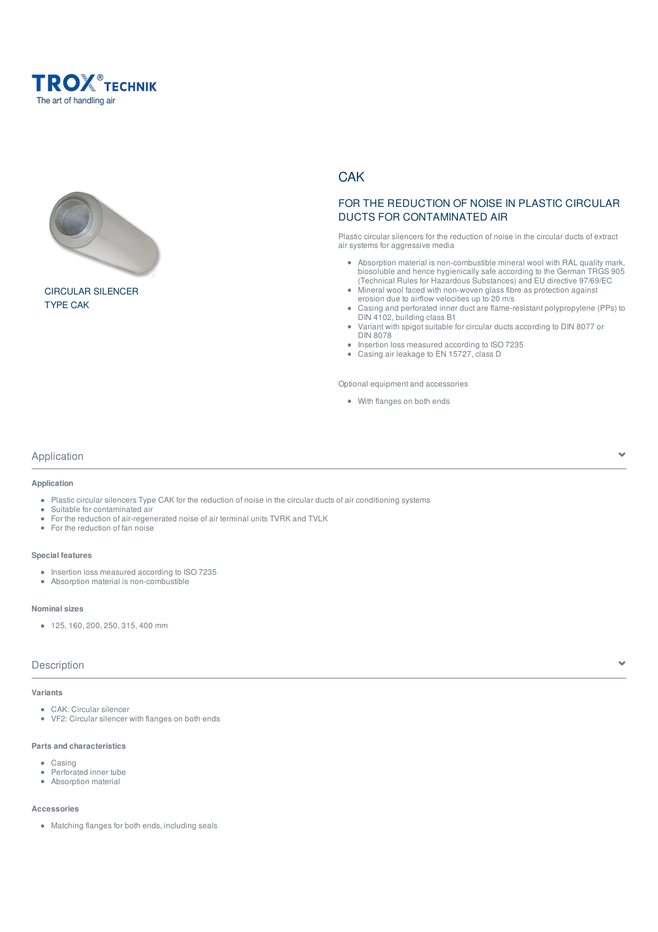



CIRCULAR SILENCER TYPE CAK

# **CAK**

# FOR THE REDUCTION OF NOISE IN PLASTIC CIRCULAR DUCTS FOR CONTAMINATED AIR

Plastic circular silencers for the reduction of noise in the circular ducts of extract air systems for aggressive media

- Absorption material is non-combustible mineral wool with RAL quality mark, biosoluble and hence hygienically safe according to the German TRGS 905 (Technical Rules for Hazardous Substances) and EU directive 97/69/EC
- Mineral wool faced with non-woven glass fibre as protection against erosion due to airflow velocities up to 20 m/s
- Casing and perforated inner duct are flame-resistant polypropylene (PPs) to DIN 4102, building class B1
- $\bullet$ Variant with spigot suitable for circular ducts according to DIN 8077 or DIN 8078
- Insertion loss measured according to ISO 7235
- Casing air leakage to EN 15727, class D

Optional equipment and accessories

With flanges on both ends

### Application

**Application**

- Plastic circular silencers Type CAK for the reduction of noise in the circular ducts of air conditioning systems
- Suitable for contaminated air
- For the reduction of air-regenerated noise of air terminal units TVRK and TVLK
- For the reduction of fan noise  $\bullet$

### **Special features**

- $\bullet$  Insertion loss measured according to ISO 7235
- Absorption material is non-combustible

#### **Nominal sizes**

 $\bullet$  125, 160, 200, 250, 315, 400 mm

### Description

### **Variants**

- CAK: Circular silencer
- VF2: Circular silencer with flanges on both ends

### **Parts and characteristics**

- Casing
- Perforated inner tube  $\bullet$ Absorption material
- 

### **Accessories**

Matching flanges for both ends, including seals

Y.

v.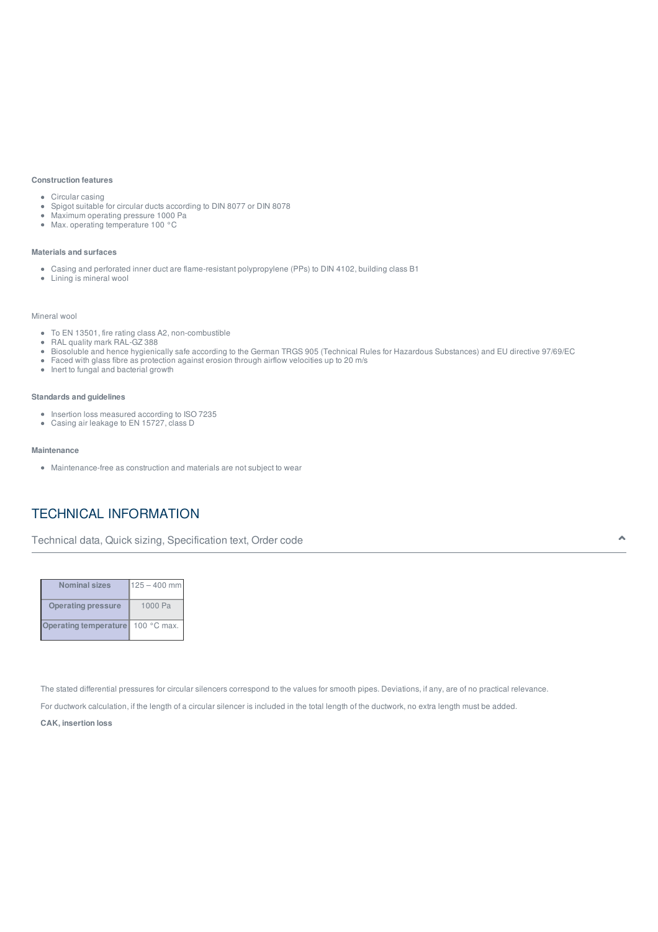#### **Construction features**

- Circular casing
- Spigot suitable for circular ducts according to DIN 8077 or DIN 8078
- Maximum operating pressure 1000 Pa
- Max. operating temperature 100 °C

#### **Materials and surfaces**

- Casing and perforated inner duct are flame-resistant polypropylene (PPs) to DIN 4102, building class B1
- Lining is mineral wool

#### Mineral wool

- To EN 13501, fire rating class A2, non-combustible
- RAL quality mark RAL-GZ 388 Biosoluble and hence hygienically safe according to the German TRGS 905 (Technical Rules for Hazardous Substances) and EU directive 97/69/EC
- Faced with glass fibre as protection against erosion through airflow velocities up to 20 m/s
- $\bullet$  Inert to fungal and bacterial growth

#### **Standards and guidelines**

- Insertion loss measured according to ISO 7235
- Casing air leakage to EN 15727, class D

#### **Maintenance**

Maintenance-free as construction and materials are not subject to wear

# TECHNICAL INFORMATION

Technical data, Quick sizing, Specification text, Order code

| <b>Nominal sizes</b>      | $125 - 400$ mm |
|---------------------------|----------------|
| <b>Operating pressure</b> | 1000 Pa        |
| Operating temperature     | 100 °C max.    |

The stated differential pressures for circular silencers correspond to the values for smooth pipes. Deviations, if any, are of no practical relevance.

For ductwork calculation, if the length of a circular silencer is included in the total length of the ductwork, no extra length must be added.

**CAK, insertion loss**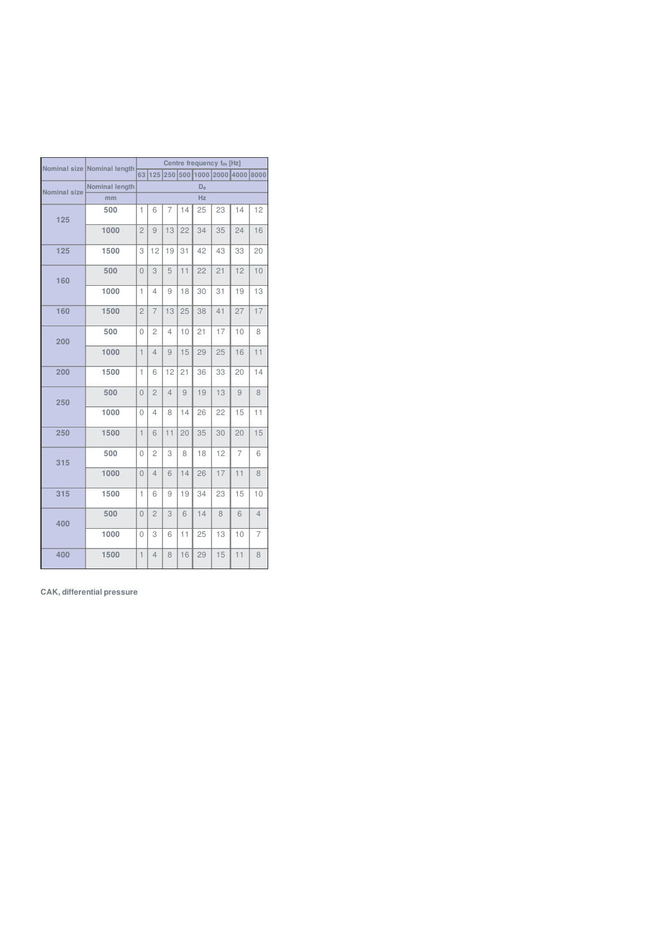|              | Nominal size Nominal length |                | Centre frequency fm [Hz] |                |    |    |                 |                                    |                |
|--------------|-----------------------------|----------------|--------------------------|----------------|----|----|-----------------|------------------------------------|----------------|
|              |                             |                |                          |                |    |    |                 | 63 125 250 500 1000 2000 4000 8000 |                |
| Nominal size | Nominal length              |                | $D_{e}$                  |                |    |    |                 |                                    |                |
|              | mm                          | Hz             |                          |                |    |    |                 |                                    |                |
| 125          | 500                         | 1              | 6                        | $\overline{7}$ | 14 | 25 | 23              | 14                                 | 12             |
|              | 1000                        | $\overline{2}$ | 9                        | 13             | 22 | 34 | 35              | 24                                 | 16             |
| 125          | 1500                        | 3              | 12                       | 19             | 31 | 42 | 43              | 33                                 | 20             |
| 160          | 500                         | $\overline{0}$ | 3                        | 5              | 11 | 22 | 21              | 12                                 | 10             |
|              | 1000                        | 1              | $\overline{4}$           | 9              | 18 | 30 | 31              | 19                                 | 13             |
| 160          | 1500                        | $\overline{c}$ | $\overline{7}$           | 13             | 25 | 38 | 41              | 27                                 | 17             |
| 200          | 500                         | $\overline{0}$ | $\overline{c}$           | $\overline{4}$ | 10 | 21 | 17              | 10                                 | 8              |
|              | 1000                        | $\overline{1}$ | $\overline{4}$           | 9              | 15 | 29 | 25              | 16                                 | 11             |
| 200          | 1500                        | $\mathbf{1}$   | 6                        | 12             | 21 | 36 | 33              | 20                                 | 14             |
| 250          | 500                         | $\overline{0}$ | $\overline{c}$           | $\overline{4}$ | 9  | 19 | 13              | 9                                  | 8              |
|              | 1000                        | 0              | 4                        | 8              | 14 | 26 | 22              | 15                                 | 11             |
| 250          | 1500                        | $\mathbf{1}$   | 6                        | 11             | 20 | 35 | 30              | 20                                 | 15             |
| 315          | 500                         | $\overline{0}$ | $\mathbf 2$              | 3              | 8  | 18 | 12              | $\overline{7}$                     | 6              |
|              | 1000                        | $\overline{0}$ | $\overline{4}$           | 6              | 14 | 26 | $\overline{17}$ | $\overline{11}$                    | 8              |
| 315          | 1500                        | 1              | 6                        | 9              | 19 | 34 | 23              | 15                                 | 10             |
| 400          | 500                         | 0              | $\overline{c}$           | 3              | 6  | 14 | 8               | 6                                  | $\overline{4}$ |
|              | 1000                        | 0              | 3                        | 6              | 11 | 25 | 13              | 10                                 | $\overline{7}$ |
| 400          | 1500                        | $\mathbf{1}$   | 4                        | 8              | 16 | 29 | 15              | 11                                 | 8              |

**CAK, differential pressure**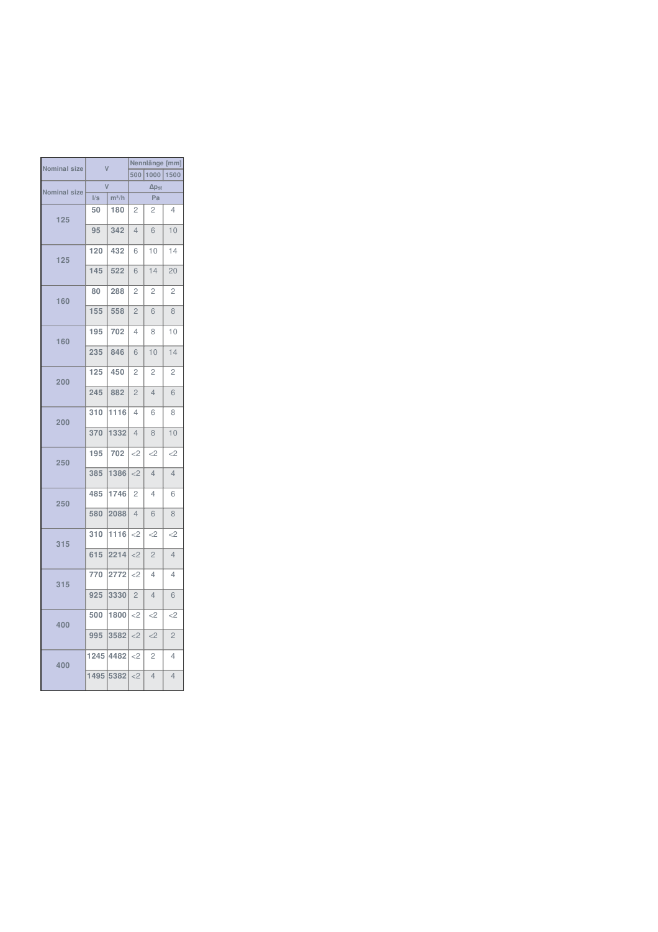|                     | $\overline{\mathsf{V}}$ |         | Nennlänge [mm]  |                |                |  |
|---------------------|-------------------------|---------|-----------------|----------------|----------------|--|
| Nominal size        |                         |         | 500<br>1000     |                | 1500           |  |
| <b>Nominal size</b> |                         |         | $\Delta p_{st}$ |                |                |  |
|                     | I/s                     | $m^3/h$ | Pa              |                |                |  |
| 125                 | 50                      | 180     | 2               | 2              | 4              |  |
|                     | 95                      | 342     | $\overline{4}$  | 6              | 10             |  |
| 125                 | 120                     | 432     | 6               | 10             | 14             |  |
|                     | 145                     | 522     | 6               | 14             | 20             |  |
| 160                 | 80                      | 288     | $\overline{c}$  | $\overline{c}$ | $\overline{c}$ |  |
|                     | 155                     | 558     | $\overline{2}$  | 6              | 8              |  |
| 160                 | 195                     | 702     | 4               | 8              | 10             |  |
|                     | 235                     | 846     | 6               | 10             | 14             |  |
| 200                 | 125                     | 450     | 2               | 2              | $\overline{c}$ |  |
|                     | 245                     | 882     | $\overline{c}$  | $\overline{4}$ | 6              |  |
| 200                 | 310                     | 1116    | 4               | 6              | 8              |  |
|                     | 370                     | 1332    | $\overline{4}$  | 8              | 10             |  |
| 250                 | 195                     | 702     | $<$ 2           | <              | <              |  |
|                     | 385                     | 1386    | $<$ 2           | $\overline{4}$ | $\overline{4}$ |  |
| 250                 | 485                     | 1746    | 2               | 4              | 6              |  |
|                     | 580                     | 2088    | $\overline{4}$  | 6              | 8              |  |
| 315                 | 310                     | 1116    | $<$ 2           | <              | <              |  |
|                     | 615                     | 2214    | $<$ 2           | $\overline{2}$ | $\overline{4}$ |  |
| 315                 | 770                     | 2772    | $<$ 2           | 4              | 4              |  |
|                     | 925                     | 3330    | $\overline{c}$  | $\overline{4}$ | 6              |  |
| 400                 | 500                     | 1800    | <               | <              | <              |  |
|                     | 995                     | 3582    | $<$ 2           | <              | $\overline{c}$ |  |
| 400                 | 1245                    | 4482    | $<$ 2           | 2              | 4              |  |
|                     | 1495                    | 5382    | $<$ 2           | $\overline{4}$ | $\overline{4}$ |  |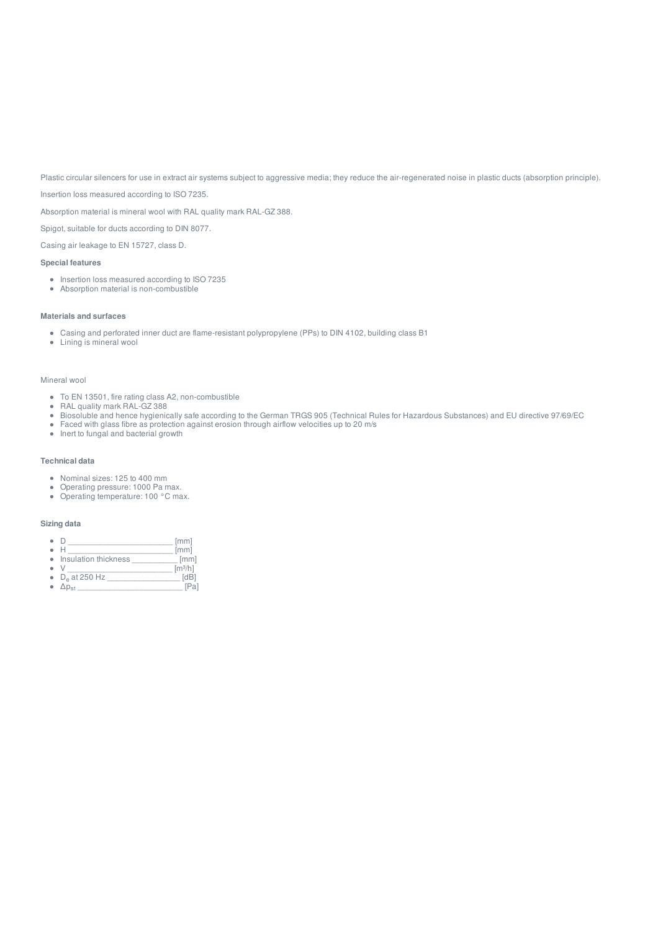Plastic circular silencers for use in extract air systems subject to aggressive media; they reduce the air-regenerated noise in plastic ducts (absorption principle).

Insertion loss measured according to ISO 7235.

Absorption material is mineral wool with RAL quality mark RAL-GZ 388.

Spigot, suitable for ducts according to DIN 8077.

Casing air leakage to EN 15727, class D.

#### **Special features**

- Insertion loss measured according to ISO 7235
- Absorption material is non-combustible

#### **Materials and surfaces**

- Casing and perforated inner duct are flame-resistant polypropylene (PPs) to DIN 4102, building class B1
- Lining is mineral wool

#### Mineral wool

- To EN 13501, fire rating class A2, non-combustible
- RAL quality mark RAL-GZ 388
- Biosoluble and hence hygienically safe according to the German TRGS 905 (Technical Rules for Hazardous Substances) and EU directive 97/69/EC
- Faced with glass fibre as protection against erosion through airflow velocities up to 20 m/s
- Inert to fungal and bacterial growth

#### **Technical data**

- Nominal sizes: 125 to 400 mm
- Operating pressure: 1000 Pa max.  $\bullet$
- Operating temperature: 100 °C max.

#### **Sizing data**

- $\begin{array}{c}\n\bullet & D \\
\bullet & H \end{array} \begin{array}{c}\n\end{array} \begin{array}{c}\n\text{[mm]} \\
\text{[mm] \end{array}$
- $\bullet$  $\begin{bmatrix} \mathsf{mm} \end{bmatrix}$
- $\bullet$ Insulation thickness  $\bullet$
- \_\_ .<br>[m<sup>3/</sup>h]<br>\_\_ [dB]
- D<sub>e</sub> at 250 Hz \_\_\_\_\_\_\_\_\_\_\_\_\_\_\_\_\_\_\_\_\_\_ [dB]  $\Delta p_{st}$  [Pa]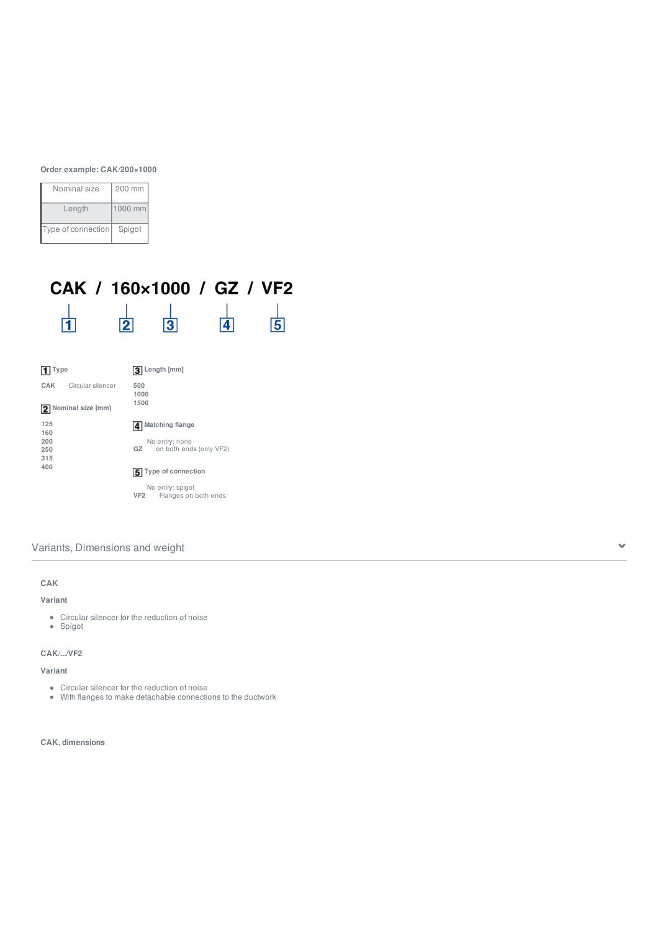**Order example: CAK/200×1000**

| Nominal size       | 200 mm  |
|--------------------|---------|
| Length             | 1000 mm |
| Type of connection | Spigot  |

### CAK / 160×1000 / GZ / VF2  $\frac{1}{4}$  $\frac{1}{\vert \mathbf{1} \vert}$  $\begin{array}{c|c} & | & \\ \hline 2 & 3 \end{array}$  $\frac{1}{5}$

| ype        |                     | Length [mm]                             |
|------------|---------------------|-----------------------------------------|
| CAK        | Circular silencer   | 500<br>1000                             |
|            | 2 Nominal size [mm] | 1500                                    |
| 125        |                     | <b>Matching flange</b>                  |
| 160<br>200 |                     | No entry: none                          |
| 250        |                     | GZ<br>on both ends (only VF2)           |
| 315<br>400 |                     |                                         |
|            |                     | 5 Type of connection                    |
|            |                     | No entry: spigot                        |
|            |                     | VF <sub>2</sub><br>Flanges on both ends |

# Variants, Dimensions and weight

# **CAK Variant**

- Circular silencer for the reduction of noise
- Spigot

### **CAK/.../VF2**

### **Variant**

- Circular silencer for the reduction of noise
- With flanges to make detachable connections to the ductwork

#### **CAK, dimensions**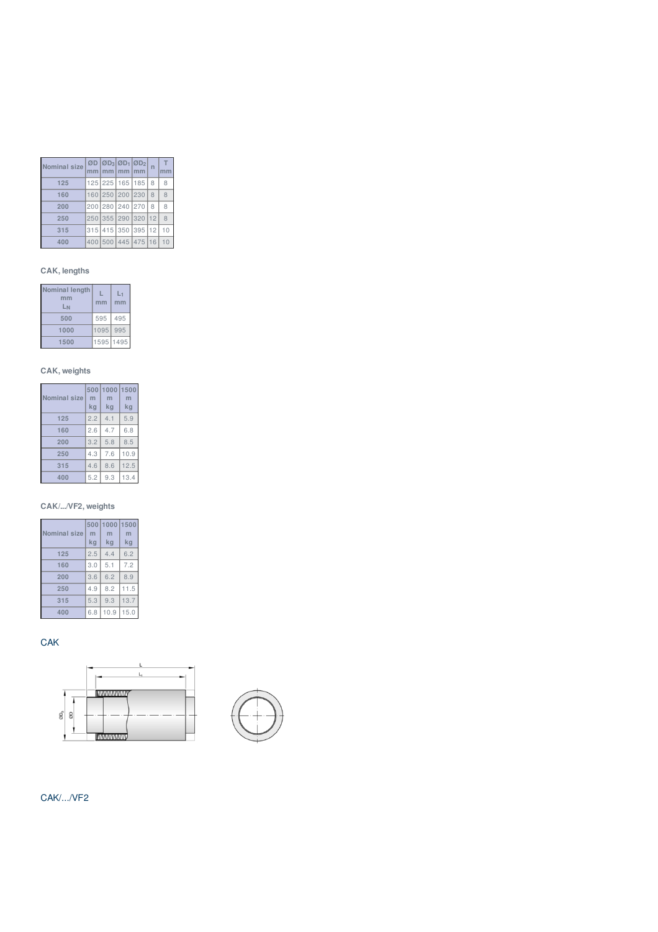| Nominal size | ØD I |                 | $ØD_3$ $ØD_1$ $ØD_2$ |                | $\overline{n}$ | T  |
|--------------|------|-----------------|----------------------|----------------|----------------|----|
| 125          |      | 125 225 165 185 |                      |                | 8              | 8  |
| 160          |      | 160 250 200 230 |                      |                | 8              | 8  |
| 200          |      | 200 280 240 270 |                      |                | 8              | 8  |
| 250          |      | 250 355 290 320 |                      |                | 12             | 8  |
| 315          | 315  |                 |                      | 415 350 395 12 |                | 10 |
| 400          |      | 400 500 445 475 |                      |                | 16'            |    |

### **CAK, lengths**

| Nominal length<br>mm<br>LN | mm   | mm   |
|----------------------------|------|------|
| 500                        | 595  | 495  |
| 1000                       | 1095 | 995  |
| 1500                       | 1595 | 1495 |

# **CAK, weights**

| <b>Nominal size</b> | 500<br>m<br>kg | 1000<br>m<br>kg | 1500<br>m<br>kq |
|---------------------|----------------|-----------------|-----------------|
| 125                 | 2.2            | 4.1             | 5.9             |
| 160                 | 2.6            | 4.7             | 6.8             |
| 200                 | 3.2            | 5.8             | 8.5             |
| 250                 | 4.3            | 7.6             | 10.9            |
| 315                 | 4.6            | 8.6             | 12.5            |
| 400                 | 5.2            | 9.3             | 13.4            |

### **CAK/.../VF2, weights**

| <b>Nominal size</b> | 500<br>m<br>kg | 1000<br>kg | 1500<br>m<br>kq |
|---------------------|----------------|------------|-----------------|
| 125                 | 2.5            | 4.4        | 6.2             |
| 160                 | 3.0            | 5.1        | 7.2             |
| 200                 | 3.6            | 6.2        | 8.9             |
| 250                 | 4.9            | 8.2        | 11.5            |
| 315                 | 5.3            | 9.3        | 13.7            |
| 400                 | 6.8            | 10.9       | 15.0            |

**CAK** 





# CAK/.../VF2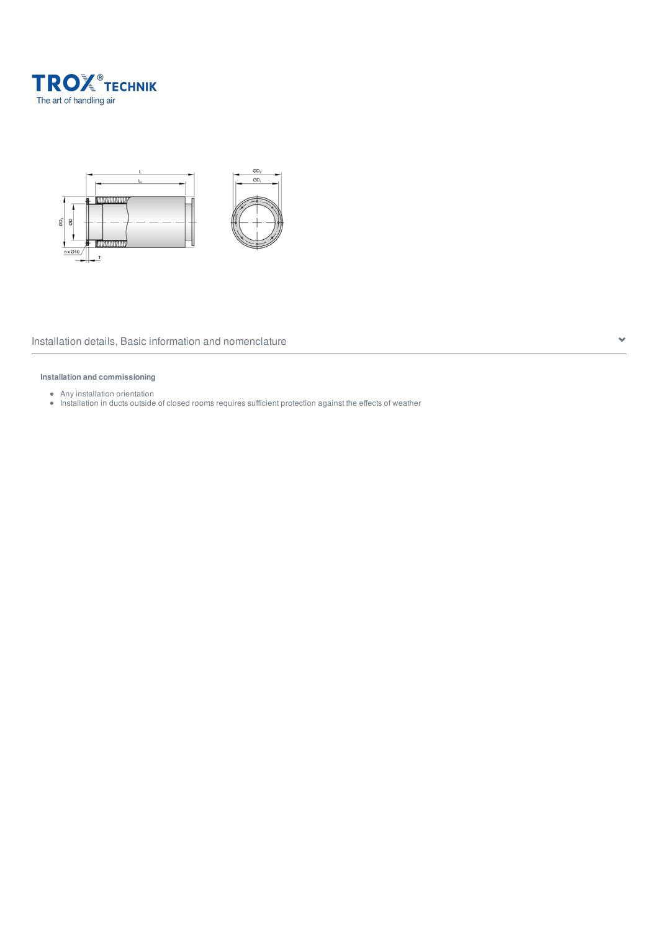



### Installation details, Basic information and nomenclature  $\sim$

### **Installation and commissioning**

- Any installation orientation
- Installation in ducts outside of closed rooms requires sufficient protection against the effects of weather